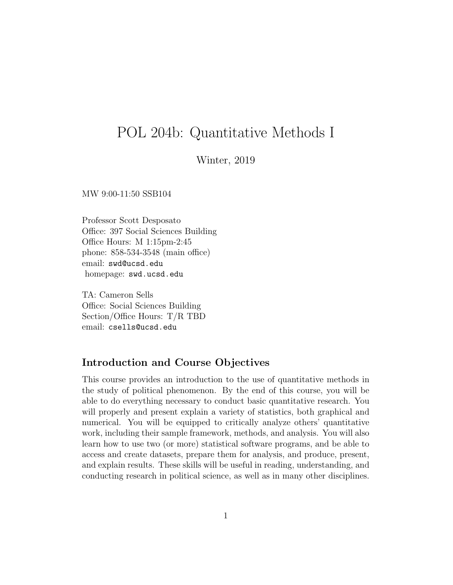# POL 204b: Quantitative Methods I

### Winter, 2019

MW 9:00-11:50 SSB104

Professor Scott Desposato Office: 397 Social Sciences Building Office Hours: M 1:15pm-2:45 phone: 858-534-3548 (main office) email: swd@ucsd.edu homepage: swd.ucsd.edu

TA: Cameron Sells Office: Social Sciences Building Section/Office Hours: T/R TBD email: csells@ucsd.edu

# Introduction and Course Objectives

This course provides an introduction to the use of quantitative methods in the study of political phenomenon. By the end of this course, you will be able to do everything necessary to conduct basic quantitative research. You will properly and present explain a variety of statistics, both graphical and numerical. You will be equipped to critically analyze others' quantitative work, including their sample framework, methods, and analysis. You will also learn how to use two (or more) statistical software programs, and be able to access and create datasets, prepare them for analysis, and produce, present, and explain results. These skills will be useful in reading, understanding, and conducting research in political science, as well as in many other disciplines.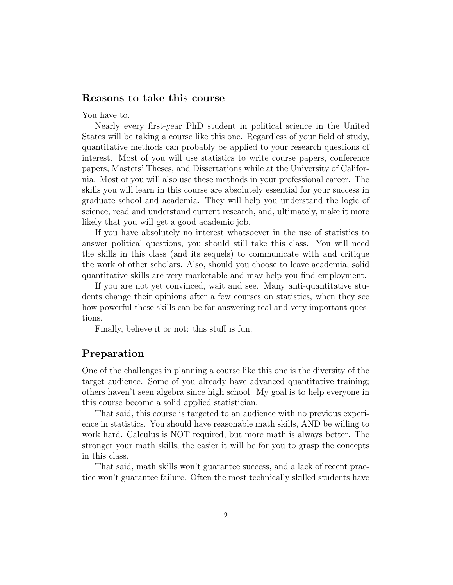### Reasons to take this course

You have to.

Nearly every first-year PhD student in political science in the United States will be taking a course like this one. Regardless of your field of study, quantitative methods can probably be applied to your research questions of interest. Most of you will use statistics to write course papers, conference papers, Masters' Theses, and Dissertations while at the University of California. Most of you will also use these methods in your professional career. The skills you will learn in this course are absolutely essential for your success in graduate school and academia. They will help you understand the logic of science, read and understand current research, and, ultimately, make it more likely that you will get a good academic job.

If you have absolutely no interest whatsoever in the use of statistics to answer political questions, you should still take this class. You will need the skills in this class (and its sequels) to communicate with and critique the work of other scholars. Also, should you choose to leave academia, solid quantitative skills are very marketable and may help you find employment.

If you are not yet convinced, wait and see. Many anti-quantitative students change their opinions after a few courses on statistics, when they see how powerful these skills can be for answering real and very important questions.

Finally, believe it or not: this stuff is fun.

# Preparation

One of the challenges in planning a course like this one is the diversity of the target audience. Some of you already have advanced quantitative training; others haven't seen algebra since high school. My goal is to help everyone in this course become a solid applied statistician.

That said, this course is targeted to an audience with no previous experience in statistics. You should have reasonable math skills, AND be willing to work hard. Calculus is NOT required, but more math is always better. The stronger your math skills, the easier it will be for you to grasp the concepts in this class.

That said, math skills won't guarantee success, and a lack of recent practice won't guarantee failure. Often the most technically skilled students have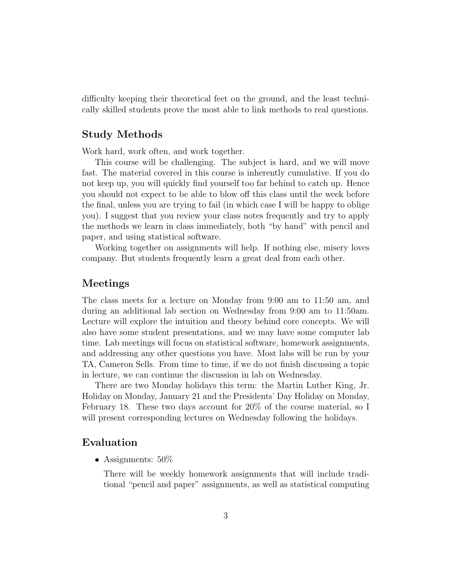difficulty keeping their theoretical feet on the ground, and the least technically skilled students prove the most able to link methods to real questions.

#### Study Methods

Work hard, work often, and work together.

This course will be challenging. The subject is hard, and we will move fast. The material covered in this course is inherently cumulative. If you do not keep up, you will quickly find yourself too far behind to catch up. Hence you should not expect to be able to blow off this class until the week before the final, unless you are trying to fail (in which case I will be happy to oblige you). I suggest that you review your class notes frequently and try to apply the methods we learn in class immediately, both "by hand" with pencil and paper, and using statistical software.

Working together on assignments will help. If nothing else, misery loves company. But students frequently learn a great deal from each other.

#### Meetings

The class meets for a lecture on Monday from 9:00 am to 11:50 am, and during an additional lab section on Wednesday from 9:00 am to 11:50am. Lecture will explore the intuition and theory behind core concepts. We will also have some student presentations, and we may have some computer lab time. Lab meetings will focus on statistical software, homework assignments, and addressing any other questions you have. Most labs will be run by your TA, Cameron Sells. From time to time, if we do not finish discussing a topic in lecture, we can continue the discussion in lab on Wednesday.

There are two Monday holidays this term: the Martin Luther King, Jr. Holiday on Monday, January 21 and the Presidents' Day Holiday on Monday, February 18. These two days account for 20% of the course material, so I will present corresponding lectures on Wednesday following the holidays.

#### Evaluation

• Assignments: 50\%

There will be weekly homework assignments that will include traditional "pencil and paper" assignments, as well as statistical computing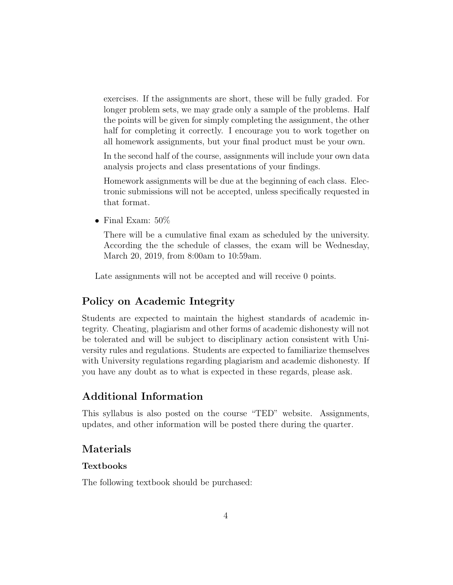exercises. If the assignments are short, these will be fully graded. For longer problem sets, we may grade only a sample of the problems. Half the points will be given for simply completing the assignment, the other half for completing it correctly. I encourage you to work together on all homework assignments, but your final product must be your own.

In the second half of the course, assignments will include your own data analysis projects and class presentations of your findings.

Homework assignments will be due at the beginning of each class. Electronic submissions will not be accepted, unless specifically requested in that format.

• Final Exam:  $50\%$ 

There will be a cumulative final exam as scheduled by the university. According the the schedule of classes, the exam will be Wednesday, March 20, 2019, from 8:00am to 10:59am.

Late assignments will not be accepted and will receive 0 points.

# Policy on Academic Integrity

Students are expected to maintain the highest standards of academic integrity. Cheating, plagiarism and other forms of academic dishonesty will not be tolerated and will be subject to disciplinary action consistent with University rules and regulations. Students are expected to familiarize themselves with University regulations regarding plagiarism and academic dishonesty. If you have any doubt as to what is expected in these regards, please ask.

# Additional Information

This syllabus is also posted on the course "TED" website. Assignments, updates, and other information will be posted there during the quarter.

# Materials

#### Textbooks

The following textbook should be purchased: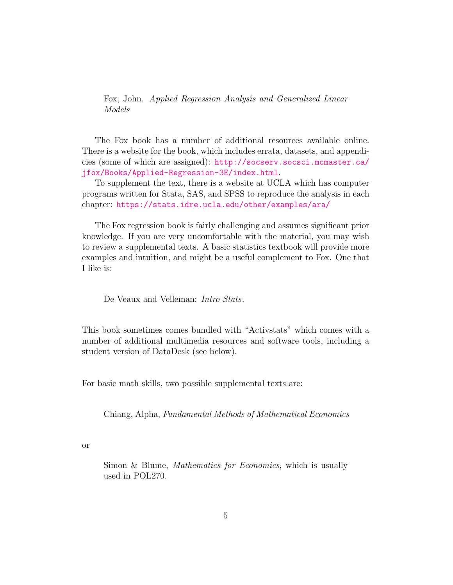Fox, John. Applied Regression Analysis and Generalized Linear Models

The Fox book has a number of additional resources available online. There is a website for the book, which includes errata, datasets, and appendicies (some of which are assigned): [http://socserv.socsci.mcmaster.ca/](http://socserv.socsci.mcmaster.ca/jfox/Books/Applied-Regression-3E/index.html) [jfox/Books/Applied-Regression-3E/index.html](http://socserv.socsci.mcmaster.ca/jfox/Books/Applied-Regression-3E/index.html).

To supplement the text, there is a website at UCLA which has computer programs written for Stata, SAS, and SPSS to reproduce the analysis in each chapter: <https://stats.idre.ucla.edu/other/examples/ara/>

The Fox regression book is fairly challenging and assumes significant prior knowledge. If you are very uncomfortable with the material, you may wish to review a supplemental texts. A basic statistics textbook will provide more examples and intuition, and might be a useful complement to Fox. One that I like is:

De Veaux and Velleman: *Intro Stats*.

This book sometimes comes bundled with "Activstats" which comes with a number of additional multimedia resources and software tools, including a student version of DataDesk (see below).

For basic math skills, two possible supplemental texts are:

Chiang, Alpha, Fundamental Methods of Mathematical Economics

or

Simon & Blume, *Mathematics for Economics*, which is usually used in POL270.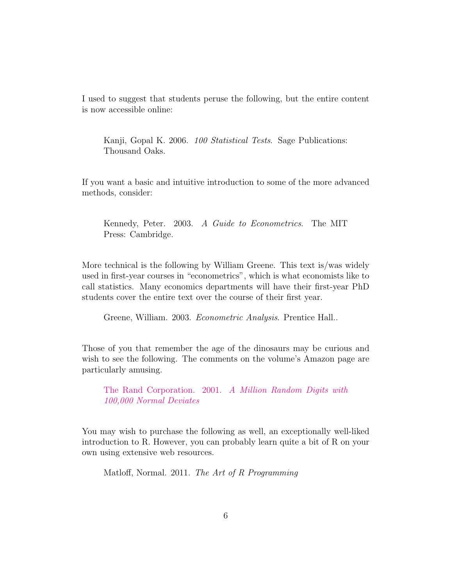I used to suggest that students peruse the following, but the entire content is now accessible online:

Kanji, Gopal K. 2006. 100 Statistical Tests. Sage Publications: Thousand Oaks.

If you want a basic and intuitive introduction to some of the more advanced methods, consider:

Kennedy, Peter. 2003. A Guide to Econometrics. The MIT Press: Cambridge.

More technical is the following by William Greene. This text is/was widely used in first-year courses in "econometrics", which is what economists like to call statistics. Many economics departments will have their first-year PhD students cover the entire text over the course of their first year.

Greene, William. 2003. Econometric Analysis. Prentice Hall..

Those of you that remember the age of the dinosaurs may be curious and wish to see the following. The comments on the volume's Amazon page are particularly amusing.

The Rand Corporation. 2001. [A Million Random Digits with](http://www.amazon.com/Million-Random-Digits-Normal-Deviates/dp/0833030477) [100,000 Normal Deviates](http://www.amazon.com/Million-Random-Digits-Normal-Deviates/dp/0833030477)

You may wish to purchase the following as well, an exceptionally well-liked introduction to R. However, you can probably learn quite a bit of R on your own using extensive web resources.

Matloff, Normal. 2011. The Art of R Programming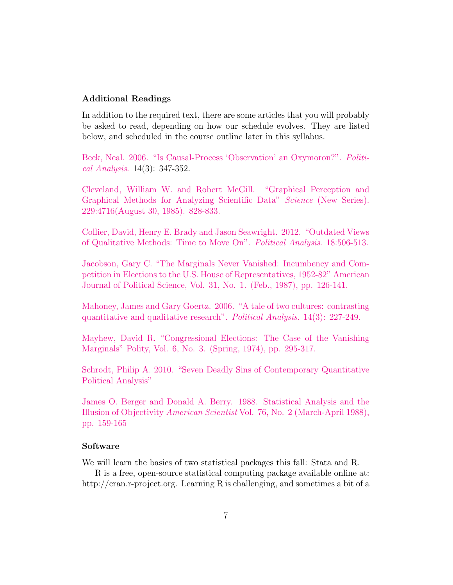#### Additional Readings

In addition to the required text, there are some articles that you will probably be asked to read, depending on how our schedule evolves. They are listed below, and scheduled in the course outline later in this syllabus.

[Beck, Neal. 2006. "Is Causal-Process 'Observation' an Oxymoron?".](http://pan.oxfordjournals.org/content/14/3/347.full.pdf+html) Politi[cal Analysis](http://pan.oxfordjournals.org/content/14/3/347.full.pdf+html). 14(3): 347-352.

[Cleveland, William W. and Robert McGill. "Graphical Perception and](https://web.cs.dal.ca/~sbrooks/csci4166-6406/seminars/readings/Cleveland_GraphicalPerception_Science85.pdf) [Graphical Methods for Analyzing Scientific Data"](https://web.cs.dal.ca/~sbrooks/csci4166-6406/seminars/readings/Cleveland_GraphicalPerception_Science85.pdf) Science (New Series). [229:4716\(August 30, 1985\). 828-833.](https://web.cs.dal.ca/~sbrooks/csci4166-6406/seminars/readings/Cleveland_GraphicalPerception_Science85.pdf)

[Collier, David, Henry E. Brady and Jason Seawright. 2012. "Outdated Views](http://pan.oxfordjournals.org/content/early/2010/09/02/pan.mpq022.full.pdf) [of Qualitative Methods: Time to Move On".](http://pan.oxfordjournals.org/content/early/2010/09/02/pan.mpq022.full.pdf) Political Analysis. 18:506-513.

[Jacobson, Gary C. "The Marginals Never Vanished: Incumbency and Com](http://www.jstor.org/stable/2111327)[petition in Elections to the U.S. House of Representatives, 1952-82" American](http://www.jstor.org/stable/2111327) [Journal of Political Science, Vol. 31, No. 1. \(Feb., 1987\), pp. 126-141.](http://www.jstor.org/stable/2111327)

[Mahoney, James and Gary Goertz. 2006. "A tale of two cultures: contrasting](http://pan.oxfordjournals.org/content/14/3/227.full.pdf+html) [quantitative and qualitative research".](http://pan.oxfordjournals.org/content/14/3/227.full.pdf+html) Political Analysis. 14(3): 227-249.

[Mayhew, David R. "Congressional Elections: The Case of the Vanishing](http://www.jstor.org/stable/3233931) [Marginals" Polity, Vol. 6, No. 3. \(Spring, 1974\), pp. 295-317.](http://www.jstor.org/stable/3233931)

[Schrodt, Philip A. 2010. "Seven Deadly Sins of Contemporary Quantitative](http://eventdata.psu.edu/7DS/Schrodt.7DS.JPR.May13.pdf) [Political Analysis"](http://eventdata.psu.edu/7DS/Schrodt.7DS.JPR.May13.pdf)

[James O. Berger and Donald A. Berry. 1988. Statistical Analysis and the](http://www.jstor.org/stable/27855070) Illusion of Objectivity American Scientist [Vol. 76, No. 2 \(March-April 1988\),](http://www.jstor.org/stable/27855070) [pp. 159-165](http://www.jstor.org/stable/27855070)

#### Software

We will learn the basics of two statistical packages this fall: Stata and R.

R is a free, open-source statistical computing package available online at: http://cran.r-project.org. Learning R is challenging, and sometimes a bit of a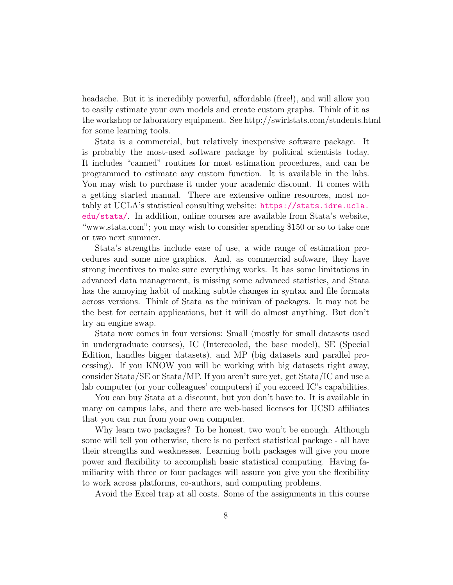headache. But it is incredibly powerful, affordable (free!), and will allow you to easily estimate your own models and create custom graphs. Think of it as the workshop or laboratory equipment. See http://swirlstats.com/students.html for some learning tools.

Stata is a commercial, but relatively inexpensive software package. It is probably the most-used software package by political scientists today. It includes "canned" routines for most estimation procedures, and can be programmed to estimate any custom function. It is available in the labs. You may wish to purchase it under your academic discount. It comes with a getting started manual. There are extensive online resources, most notably at UCLA's statistical consulting website: [https://stats.idre.ucla.](https://stats.idre.ucla.edu/stata/) [edu/stata/](https://stats.idre.ucla.edu/stata/). In addition, online courses are available from Stata's website, "www.stata.com"; you may wish to consider spending \$150 or so to take one or two next summer.

Stata's strengths include ease of use, a wide range of estimation procedures and some nice graphics. And, as commercial software, they have strong incentives to make sure everything works. It has some limitations in advanced data management, is missing some advanced statistics, and Stata has the annoying habit of making subtle changes in syntax and file formats across versions. Think of Stata as the minivan of packages. It may not be the best for certain applications, but it will do almost anything. But don't try an engine swap.

Stata now comes in four versions: Small (mostly for small datasets used in undergraduate courses), IC (Intercooled, the base model), SE (Special Edition, handles bigger datasets), and MP (big datasets and parallel processing). If you KNOW you will be working with big datasets right away, consider Stata/SE or Stata/MP. If you aren't sure yet, get Stata/IC and use a lab computer (or your colleagues' computers) if you exceed IC's capabilities.

You can buy Stata at a discount, but you don't have to. It is available in many on campus labs, and there are web-based licenses for UCSD affiliates that you can run from your own computer.

Why learn two packages? To be honest, two won't be enough. Although some will tell you otherwise, there is no perfect statistical package - all have their strengths and weaknesses. Learning both packages will give you more power and flexibility to accomplish basic statistical computing. Having familiarity with three or four packages will assure you give you the flexibility to work across platforms, co-authors, and computing problems.

Avoid the Excel trap at all costs. Some of the assignments in this course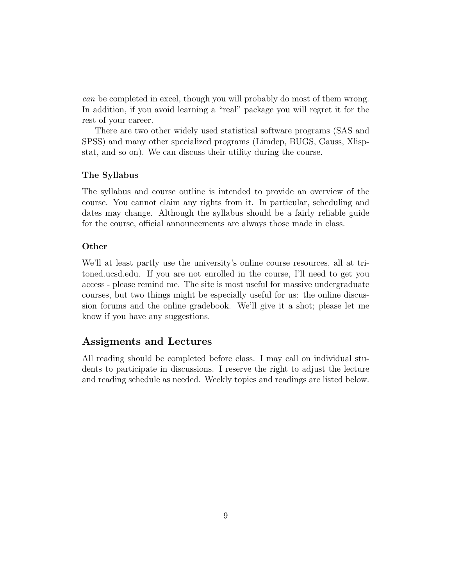can be completed in excel, though you will probably do most of them wrong. In addition, if you avoid learning a "real" package you will regret it for the rest of your career.

There are two other widely used statistical software programs (SAS and SPSS) and many other specialized programs (Limdep, BUGS, Gauss, Xlispstat, and so on). We can discuss their utility during the course.

#### The Syllabus

The syllabus and course outline is intended to provide an overview of the course. You cannot claim any rights from it. In particular, scheduling and dates may change. Although the syllabus should be a fairly reliable guide for the course, official announcements are always those made in class.

#### Other

We'll at least partly use the university's online course resources, all at tritoned.ucsd.edu. If you are not enrolled in the course, I'll need to get you access - please remind me. The site is most useful for massive undergraduate courses, but two things might be especially useful for us: the online discussion forums and the online gradebook. We'll give it a shot; please let me know if you have any suggestions.

# Assigments and Lectures

All reading should be completed before class. I may call on individual students to participate in discussions. I reserve the right to adjust the lecture and reading schedule as needed. Weekly topics and readings are listed below.